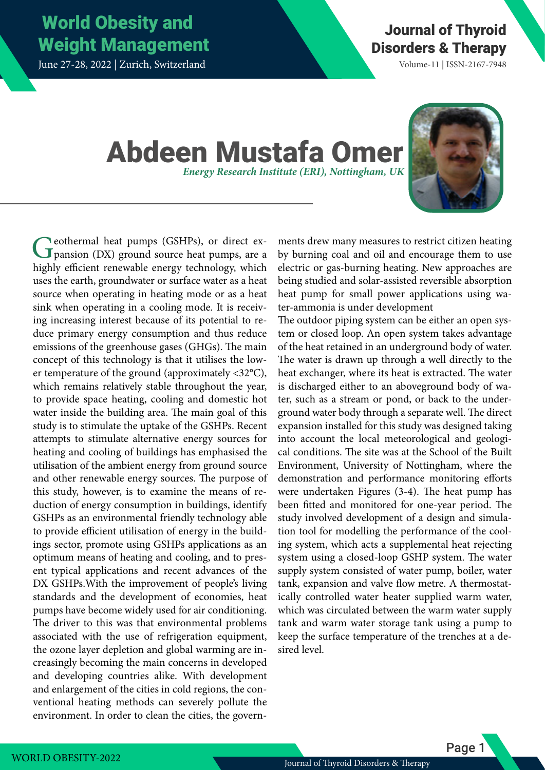World Obesity and Weight Management

June 27-28, 2022 | Zurich, Switzerland

## Journal of Thyroid Disorders & Therapy

Volume-11 | ISSN-2167-7948

# Abdeen Mustafa Omer *Energy Research Institute (ERI), Nottingham, UK*



Geothermal heat pumps (GSHPs), or direct expansion (DX) ground source heat pumps, are a highly efficient renewable energy technology, which uses the earth, groundwater or surface water as a heat source when operating in heating mode or as a heat sink when operating in a cooling mode. It is receiving increasing interest because of its potential to reduce primary energy consumption and thus reduce emissions of the greenhouse gases (GHGs). The main concept of this technology is that it utilises the lower temperature of the ground (approximately <32°C), which remains relatively stable throughout the year, to provide space heating, cooling and domestic hot water inside the building area. The main goal of this study is to stimulate the uptake of the GSHPs. Recent attempts to stimulate alternative energy sources for heating and cooling of buildings has emphasised the utilisation of the ambient energy from ground source and other renewable energy sources. The purpose of this study, however, is to examine the means of reduction of energy consumption in buildings, identify GSHPs as an environmental friendly technology able to provide efficient utilisation of energy in the buildings sector, promote using GSHPs applications as an optimum means of heating and cooling, and to present typical applications and recent advances of the DX GSHPs.With the improvement of people's living standards and the development of economies, heat pumps have become widely used for air conditioning. The driver to this was that environmental problems associated with the use of refrigeration equipment, the ozone layer depletion and global warming are increasingly becoming the main concerns in developed and developing countries alike. With development and enlargement of the cities in cold regions, the conventional heating methods can severely pollute the environment. In order to clean the cities, the govern-

ments drew many measures to restrict citizen heating by burning coal and oil and encourage them to use electric or gas-burning heating. New approaches are being studied and solar-assisted reversible absorption heat pump for small power applications using water-ammonia is under development

The outdoor piping system can be either an open system or closed loop. An open system takes advantage of the heat retained in an underground body of water. The water is drawn up through a well directly to the heat exchanger, where its heat is extracted. The water is discharged either to an aboveground body of water, such as a stream or pond, or back to the underground water body through a separate well. The direct expansion installed for this study was designed taking into account the local meteorological and geological conditions. The site was at the School of the Built Environment, University of Nottingham, where the demonstration and performance monitoring efforts were undertaken Figures (3-4). The heat pump has been fitted and monitored for one-year period. The study involved development of a design and simulation tool for modelling the performance of the cooling system, which acts a supplemental heat rejecting system using a closed-loop GSHP system. The water supply system consisted of water pump, boiler, water tank, expansion and valve flow metre. A thermostatically controlled water heater supplied warm water, which was circulated between the warm water supply tank and warm water storage tank using a pump to keep the surface temperature of the trenches at a desired level.

Page 1